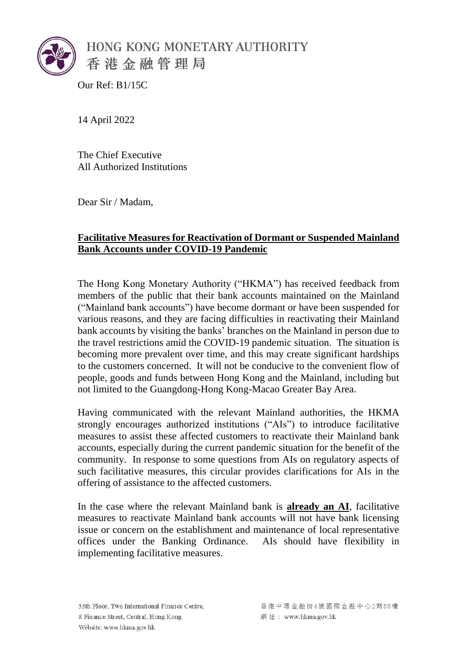

Our Ref: B1/15C

14 April 2022

The Chief Executive All Authorized Institutions

Dear Sir / Madam,

## **Facilitative Measures for Reactivation of Dormant or Suspended Mainland Bank Accounts under COVID-19 Pandemic**

The Hong Kong Monetary Authority ("HKMA") has received feedback from members of the public that their bank accounts maintained on the Mainland ("Mainland bank accounts") have become dormant or have been suspended for various reasons, and they are facing difficulties in reactivating their Mainland bank accounts by visiting the banks' branches on the Mainland in person due to the travel restrictions amid the COVID-19 pandemic situation. The situation is becoming more prevalent over time, and this may create significant hardships to the customers concerned. It will not be conducive to the convenient flow of people, goods and funds between Hong Kong and the Mainland, including but not limited to the Guangdong-Hong Kong-Macao Greater Bay Area.

Having communicated with the relevant Mainland authorities, the HKMA strongly encourages authorized institutions ("AIs") to introduce facilitative measures to assist these affected customers to reactivate their Mainland bank accounts, especially during the current pandemic situation for the benefit of the community.In response to some questions from AIs on regulatory aspects of such facilitative measures, this circular provides clarifications for AIs in the offering of assistance to the affected customers.

In the case where the relevant Mainland bank is **already an AI**, facilitative measures to reactivate Mainland bank accounts will not have bank licensing issue or concern on the establishment and maintenance of local representative offices under the Banking Ordinance. AIs should have flexibility in implementing facilitative measures.